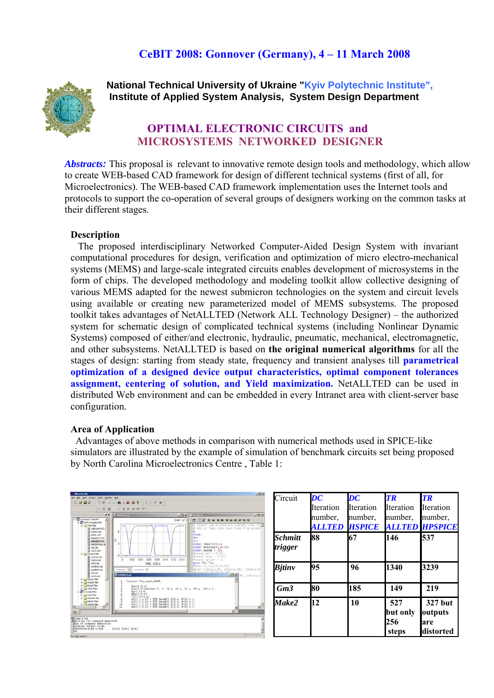# **CeBIT 2008: Gonnover (Germany), 4 – 11 March 2008**



 **National Technical University of Ukraine "Kyiv Polytechnic Institute", Institute of Applied System Analysis, System Design Department**

## **OPTIMAL ELECTRONIC CIRCUITS and MICROSYSTEMS NETWORKED DESIGNER**

*Abstracts:* This proposal is relevant to innovative remote design tools and methodology, which allow to create WEB-based CAD framework for design of different technical systems (first of all, for Microelectronics). The WEB-based CAD framework implementation uses the Internet tools and protocols to support the co-operation of several groups of designers working on the common tasks at their different stages.

#### **Description**

 The proposed interdisciplinary Networked Computer-Aided Design System with invariant computational procedures for design, verification and optimization of micro electro-mechanical systems (MEMS) and large-scale integrated circuits enables development of microsystems in the form of chips. The developed methodology and modeling toolkit allow collective designing of various MEMS adapted for the newest submicron technologies on the system and circuit levels using available or creating new parameterized model of MEMS subsystems. The proposed toolkit takes advantages of NetALLTED (Network ALL Technology Designer) – the authorized system for schematic design of complicated technical systems (including Nonlinear Dynamic Systems) composed of either/and electronic, hydraulic, pneumatic, mechanical, electromagnetic, and other subsystems. NetALLTED is based on **the original numerical algorithms** for all the stages of design: starting from steady state, frequency and transient analyses till **parametrical optimization of a designed device output characteristics, optimal component tolerances assignment, centering of solution, and Yield maximization.** NetALLTED can be used in distributed Web environment and can be embedded in every Intranet area with client-server base configuration.

#### **Area of Application**

Advantages of above methods in comparison with numerical methods used in SPICE-like simulators are illustrated by the example of simulation of benchmark circuits set being proposed by North Carolina Microelectronics Centre , Table 1: